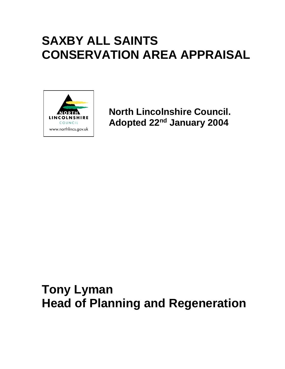# **SAXBY ALL SAINTS CONSERVATION AREA APPRAISAL**



**North Lincolnshire Council. Adopted 22nd January 2004**

# **Tony Lyman Head of Planning and Regeneration**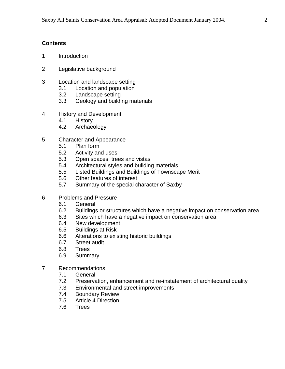## **Contents**

- 1 Introduction
- 2 Legislative background
- 3 Location and landscape setting
	- 3.1 Location and population
	- 3.2 Landscape setting
	- 3.3 Geology and building materials
- 4 History and Development
	- 4.1 History
	- 4.2 Archaeology
- 5 Character and Appearance
	- 5.1 Plan form
	- 5.2 Activity and uses
	- 5.3 Open spaces, trees and vistas
	- 5.4 Architectural styles and building materials
	- 5.5 Listed Buildings and Buildings of Townscape Merit
	- 5.6 Other features of interest
	- 5.7 Summary of the special character of Saxby
- 6 Problems and Pressure
	- 6.1 General
	- 6.2 Buildings or structures which have a negative impact on conservation area
	- 6.3 Sites which have a negative impact on conservation area
	- 6.4 New development
	- 6.5 Buildings at Risk
	- 6.6 Alterations to existing historic buildings
	- 6.7 Street audit
	- 6.8 Trees
	- 6.9 Summary
- 7 Recommendations
	- 7.1 General
	- 7.2 Preservation, enhancement and re-instatement of architectural quality
	- 7.3 Environmental and street improvements
	- 7.4 Boundary Review<br>7.5 Article 4 Direction
	- Article 4 Direction
	- 7.6 Trees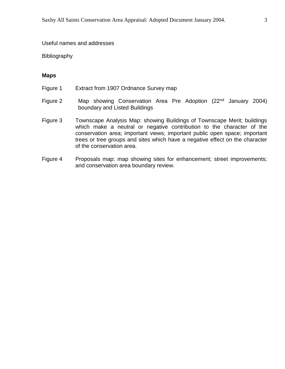#### Useful names and addresses

**Bibliography** 

#### **Maps**

- Figure 1 Extract from 1907 Ordnance Survey map
- Figure 2 Map showing Conservation Area Pre Adoption (22<sup>nd</sup> January 2004) boundary and Listed Buildings
- Figure 3 Townscape Analysis Map: showing Buildings of Townscape Merit; buildings which make a neutral or negative contribution to the character of the conservation area; important views; important public open space; important trees or tree groups and sites which have a negative effect on the character of the conservation area.
- Figure 4 Proposals map: map showing sites for enhancement; street improvements; and conservation area boundary review.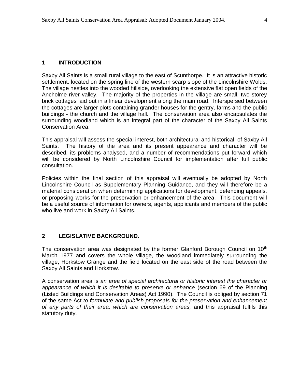Saxby All Saints is a small rural village to the east of Scunthorpe. It is an attractive historic settlement, located on the spring line of the western scarp slope of the Lincolnshire Wolds. The village nestles into the wooded hillside, overlooking the extensive flat open fields of the Ancholme river valley. The majority of the properties in the village are small, two storey brick cottages laid out in a linear development along the main road. Interspersed between the cottages are larger plots containing grander houses for the gentry, farms and the public buildings - the church and the village hall. The conservation area also encapsulates the surrounding woodland which is an integral part of the character of the Saxby All Saints Conservation Area.

This appraisal will assess the special interest, both architectural and historical, of Saxby All Saints. The history of the area and its present appearance and character will be described, its problems analysed, and a number of recommendations put forward which will be considered by North Lincolnshire Council for implementation after full public consultation.

Policies within the final section of this appraisal will eventually be adopted by North Lincolnshire Council as Supplementary Planning Guidance, and they will therefore be a material consideration when determining applications for development, defending appeals, or proposing works for the preservation or enhancement of the area. This document will be a useful source of information for owners, agents, applicants and members of the public who live and work in Saxby All Saints.

## **2 LEGISLATIVE BACKGROUND.**

The conservation area was designated by the former Glanford Borough Council on 10<sup>th</sup> March 1977 and covers the whole village, the woodland immediately surrounding the village, Horkstow Grange and the field located on the east side of the road between the Saxby All Saints and Horkstow.

A conservation area is *an area of special architectural or historic interest the character or appearance of which it is desirable to preserve or enhance* (section 69 of the Planning (Listed Buildings and Conservation Areas) Act 1990). The Council is obliged by section 71 of the same Act *to formulate and publish proposals for the preservation and enhancement of any parts of their area, which are conservation areas,* and this appraisal fulfils this statutory duty.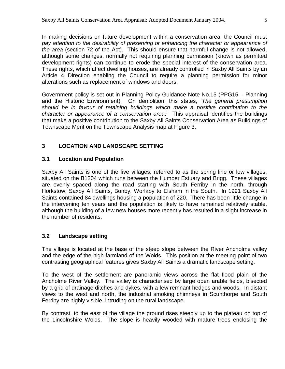In making decisions on future development within a conservation area, the Council must *pay attention to the desirability of preserving or enhancing the character or appearance of the area* (section 72 of the Act). This should ensure that harmful change is not allowed, although some changes, normally not requiring planning permission (known as permitted development rights) can continue to erode the special interest of the conservation area. These rights, which affect dwelling houses, are already controlled in Saxby All Saints by an Article 4 Direction enabling the Council to require a planning permission for minor alterations such as replacement of windows and doors.

Government policy is set out in Planning Policy Guidance Note No.15 (PPG15 – Planning and the Historic Environment). On demolition, this states, '*The general presumption should be in favour of retaining buildings which make a positive contribution to the character or appearance of a conservation area*.' This appraisal identifies the buildings that make a positive contribution to the Saxby All Saints Conservation Area as Buildings of Townscape Merit on the Townscape Analysis map at Figure 3.

## **3 LOCATION AND LANDSCAPE SETTING**

## **3.1 Location and Population**

Saxby All Saints is one of the five villages, referred to as the spring line or low villages, situated on the B1204 which runs between the Humber Estuary and Brigg. These villages are evenly spaced along the road starting with South Ferriby in the north, through Horkstow, Saxby All Saints, Bonby, Worlaby to Elsham in the South. In 1991 Saxby All Saints contained 84 dwellings housing a population of 220. There has been little change in the intervening ten years and the population is likely to have remained relatively stable, although the building of a few new houses more recently has resulted in a slight increase in the number of residents.

## **3.2 Landscape setting**

The village is located at the base of the steep slope between the River Ancholme valley and the edge of the high farmland of the Wolds. This position at the meeting point of two contrasting geographical features gives Saxby All Saints a dramatic landscape setting.

To the west of the settlement are panoramic views across the flat flood plain of the Ancholme River Valley. The valley is characterised by large open arable fields, bisected by a grid of drainage ditches and dykes, with a few remnant hedges and woods. In distant views to the west and north, the industrial smoking chimneys in Scunthorpe and South Ferriby are highly visible, intruding on the rural landscape.

By contrast, to the east of the village the ground rises steeply up to the plateau on top of the Lincolnshire Wolds. The slope is heavily wooded with mature trees enclosing the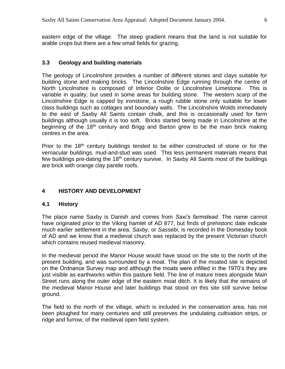eastern edge of the village. The steep gradient means that the land is not suitable for arable crops but there are a few small fields for grazing.

#### **3.3 Geology and building materials**

The geology of Lincolnshire provides a number of different stones and clays suitable for building stone and making bricks. The Lincolnshire Edge running through the centre of North Lincolnshire is composed of Inferior Oolite or Lincolnshire Limestone. This is variable in quality, but used in some areas for building stone. The western scarp of the Lincolnshire Edge is capped by ironstone, a rough rubble stone only suitable for lower class buildings such as cottages and boundary walls. The Lincolnshire Wolds immediately to the east of Saxby All Saints contain chalk, and this is occasionally used for farm buildings although usually it is too soft. Bricks started being made in Lincolnshire at the beginning of the 18<sup>th</sup> century and Brigg and Barton grew to be the main brick making centres in the area.

Prior to the 18<sup>th</sup> century buildings tended to be either constructed of stone or for the vernacular buildings, mud-and-stud was used. This less permanent materials means that few buildings pre-dating the 18<sup>th</sup> century survive. In Saxby All Saints most of the buildings are brick with orange clay pantile roofs.

## **4 HISTORY AND DEVELOPMENT**

#### **4.1 History**

The place name Saxby is Danish and comes from *Saxi's farmstead*. The name cannot have originated prior to the Viking hamlet of AD 877, but finds of prehistoric date indicate much earlier settlement in the area. *Saxby*, or *Sassebi*, is recorded in the Domesday book of AD and we know that a medieval church was replaced by the present Victorian church which contains reused medieval masonry.

In the medieval period the Manor House would have stood on the site to the north of the present building, and was surrounded by a moat. The plan of the moated site is depicted on the Ordnance Survey map and although the moats were infilled in the 1970's they are just visible as earthworks within this pasture field. The line of mature trees alongside Main Street runs along the outer edge of the eastern moat ditch. It is likely that the remains of the medieval Manor House and later buildings that stood on this site still survive below ground.

The field to the north of the village, which is included in the conservation area, has not been ploughed for many centuries and still preserves the undulating cultivation strips, or ridge and furrow, of the medieval open field system.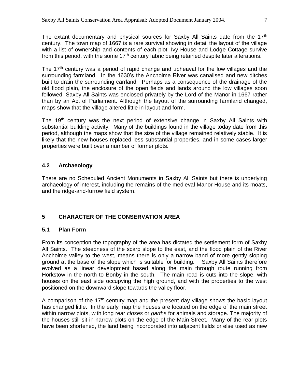The extant documentary and physical sources for Saxby All Saints date from the 17<sup>th</sup> century. The town map of 1667 is a rare survival showing in detail the layout of the village with a list of ownership and contents of each plot. Ivy House and Lodge Cottage survive from this period, with the some  $17<sup>th</sup>$  century fabric being retained despite later alterations.

The  $17<sup>th</sup>$  century was a period of rapid change and upheaval for the low villages and the surrounding farmland. In the 1630's the Ancholme River was canalised and new ditches built to drain the surrounding carrland. Perhaps as a consequence of the drainage of the old flood plain, the enclosure of the open fields and lands around the low villages soon followed. Saxby All Saints was enclosed privately by the Lord of the Manor in 1667 rather than by an Act of Parliament. Although the layout of the surrounding farmland changed, maps show that the village altered little in layout and form.

The 19<sup>th</sup> century was the next period of extensive change in Saxby All Saints with substantial building activity. Many of the buildings found in the village today date from this period, although the maps show that the size of the village remained relatively stable. It is likely that the new houses replaced less substantial properties, and in some cases larger properties were built over a number of former plots.

## **4.2 Archaeology**

There are no Scheduled Ancient Monuments in Saxby All Saints but there is underlying archaeology of interest, including the remains of the medieval Manor House and its moats, and the ridge-and-furrow field system.

## **5 CHARACTER OF THE CONSERVATION AREA**

#### **5.1 Plan Form**

From its conception the topography of the area has dictated the settlement form of Saxby All Saints. The steepness of the scarp slope to the east, and the flood plain of the River Ancholme valley to the west, means there is only a narrow band of more gently sloping ground at the base of the slope which is suitable for building. Saxby All Saints therefore evolved as a linear development based along the main through route running from Horkstow in the north to Bonby in the south. The main road is cuts into the slope, with houses on the east side occupying the high ground, and with the properties to the west positioned on the downward slope towards the valley floor.

A comparison of the 17<sup>th</sup> century map and the present day village shows the basic layout has changed little. In the early map the houses are located on the edge of the main street within narrow plots, with long rear *closes* or *garths* for animals and storage. The majority of the houses still sit in narrow plots on the edge of the Main Street. Many of the rear plots have been shortened, the land being incorporated into adjacent fields or else used as new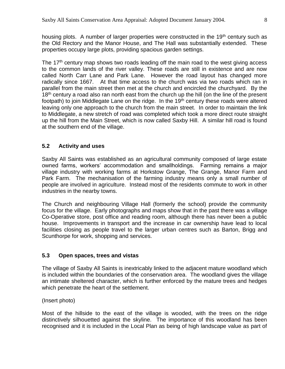housing plots. A number of larger properties were constructed in the 19<sup>th</sup> century such as the Old Rectory and the Manor House, and The Hall was substantially extended. These properties occupy large plots, providing spacious garden settings.

The  $17<sup>th</sup>$  century map shows two roads leading off the main road to the west giving access to the common lands of the river valley. These roads are still in existence and are now called North Carr Lane and Park Lane. However the road layout has changed more radically since 1667. At that time access to the church was via two roads which ran in parallel from the main street then met at the church and encircled the churchyard. By the  $18<sup>th</sup>$  century a road also ran north east from the church up the hill (on the line of the present footpath) to join Middlegate Lane on the ridge. In the  $19<sup>th</sup>$  century these roads were altered leaving only one approach to the church from the main street. In order to maintain the link to Middlegate, a new stretch of road was completed which took a more direct route straight up the hill from the Main Street, which is now called Saxby Hill. A similar hill road is found at the southern end of the village.

# **5.2 Activity and uses**

Saxby All Saints was established as an agricultural community composed of large estate owned farms, workers' accommodation and smallholdings. Farming remains a major village industry with working farms at Horkstow Grange, The Grange, Manor Farm and Park Farm. The mechanisation of the farming industry means only a small number of people are involved in agriculture. Instead most of the residents commute to work in other industries in the nearby towns.

The Church and neighbouring Village Hall (formerly the school) provide the community focus for the village. Early photographs and maps show that in the past there was a village Co-Operative store, post office and reading room, although there has never been a public house. Improvements in transport and the increase in car ownership have lead to local facilities closing as people travel to the larger urban centres such as Barton, Brigg and Scunthorpe for work, shopping and services.

## **5.3 Open spaces, trees and vistas**

The village of Saxby All Saints is inextricably linked to the adjacent mature woodland which is included within the boundaries of the conservation area. The woodland gives the village an intimate sheltered character, which is further enforced by the mature trees and hedges which penetrate the heart of the settlement.

(Insert photo)

Most of the hillside to the east of the village is wooded, with the trees on the ridge distinctively silhouetted against the skyline. The importance of this woodland has been recognised and it is included in the Local Plan as being of high landscape value as part of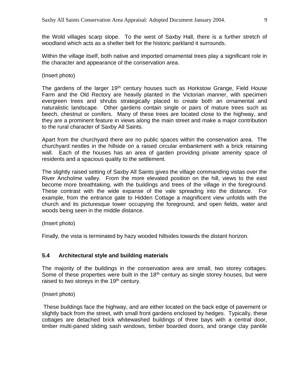the Wold villages scarp slope. To the west of Saxby Hall, there is a further stretch of woodland which acts as a shelter belt for the historic parkland it surrounds.

Within the village itself, both native and imported ornamental trees play a significant role in the character and appearance of the conservation area.

(Insert photo)

The gardens of the larger  $19<sup>th</sup>$  century houses such as Horkstow Grange, Field House Farm and the Old Rectory are heavily planted in the Victorian manner, with specimen evergreen trees and shrubs strategically placed to create both an ornamental and naturalistic landscape. Other gardens contain single or pairs of mature trees such as beech, chestnut or conifers. Many of these trees are located close to the highway, and they are a prominent feature in views along the main street and make a major contribution to the rural character of Saxby All Saints.

Apart from the churchyard there are no public spaces within the conservation area. The churchyard nestles in the hillside on a raised circular embankment with a brick retaining wall. Each of the houses has an area of garden providing private amenity space of residents and a spacious quality to the settlement.

The slightly raised setting of Saxby All Saints gives the village commanding vistas over the River Ancholme valley. From the more elevated position on the hill, views to the east become more breathtaking, with the buildings and trees of the village in the foreground. These contrast with the wide expanse of the vale spreading into the distance. For example, from the entrance gate to Hidden Cottage a magnificent view unfolds with the church and its picturesque tower occupying the foreground, and open fields, water and woods being seen in the middle distance.

(Insert photo)

Finally, the vista is terminated by hazy wooded hillsides towards the distant horizon.

#### **5.4 Architectural style and building materials**

The majority of the buildings in the conservation area are small, two storey cottages. Some of these properties were built in the  $18<sup>th</sup>$  century as single storey houses, but were raised to two storeys in the 19<sup>th</sup> century.

(Insert photo)

These buildings face the highway, and are either located on the back edge of pavement or slightly back from the street, with small front gardens enclosed by hedges. Typically, these cottages are detached brick whitewashed buildings of three bays with a central door, timber multi-paned sliding sash windows, timber boarded doors, and orange clay pantile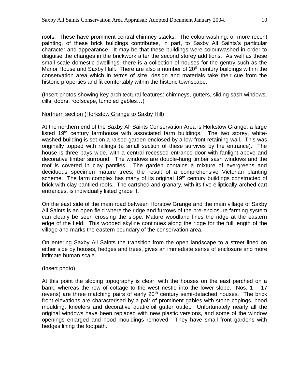roofs. These have prominent central chimney stacks. The colourwashing, or more recent painting, of these brick buildings contributes, in part, to Saxby All Saints's particular character and appearance. It may be that these buildings were colourwashed in order to disguise the changes in the brickwork after the second storey additions. As well as these small scale domestic dwellings, there is a collection of houses for the gentry such as the Manor House and Saxby Hall. There are also a number of  $20<sup>th</sup>$  century buildings within the conservation area which in terms of size, design and materials take their cue from the historic properties and fit comfortably within the historic townscape.

(Insert photos showing key architectural features: chimneys, gutters, sliding sash windows, cills, doors, roofscape, tumbled gables…)

#### Northern section (Horkstow Grange to Saxby Hill)

At the northern end of the Saxby All Saints Conservation Area is Horkstow Grange, a large listed  $19<sup>th</sup>$  century farmhouse with associated farm buildings. The two storey, whitewashed building is set on a raised garden enclosed by a low front retaining wall. This was originally topped with railings (a small section of these survives by the entrance). The house is three bays wide, with a central recessed entrance door with fanlight above and decorative timber surround. The windows are double-hung timber sash windows and the roof is covered in clay pantiles. The garden contains a mixture of evergreens and deciduous specimen mature trees, the result of a comprehensive Victorian planting scheme. The farm complex has many of its original 19<sup>th</sup> century buildings constructed of brick with clay pantiled roofs. The cartshed and granary, with its five elliptically-arched cart entrances, is individually listed grade II.

On the east side of the main road between Horstow Grange and the main village of Saxby All Saints is an open field where the ridge and furrows of the pre-enclosure farming system can clearly be seen crossing the slope. Mature woodland lines the ridge at the eastern edge of the field. This wooded skyline continues along the ridge for the full length of the village and marks the eastern boundary of the conservation area.

On entering Saxby All Saints the transition from the open landscape to a street lined on either side by houses, hedges and trees, gives an immediate sense of enclosure and more intimate human scale.

#### (Insert photo)

At this point the sloping topography is clear, with the houses on the east perched on a bank, whereas the row of cottage to the west nestle into the lower slope. Nos.  $1 - 17$ (evens) are three matching pairs of early  $20<sup>th</sup>$  century semi-detached houses. The brick front elevations are characterised by a pair of prominent gables with stone copings, hood moulding, kneelers and decorative quatrefoil gutter outlet. Unfortunately nearly all the original windows have been replaced with new plastic versions, and some of the window openings enlarged and hood mouldings removed. They have small front gardens with hedges lining the footpath.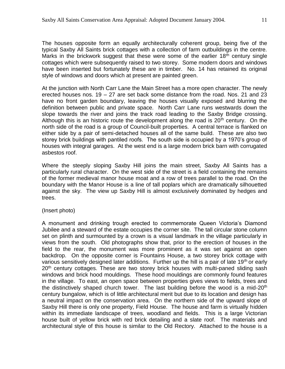The houses opposite form an equally architecturally coherent group, being five of the typical Saxby All Saints brick cottages with a collection of farm outbuildings in the centre. Marks in the brickwork suggest that these were some of the earlier  $18<sup>th</sup>$  century single cottages which were subsequently raised to two storey. Some modern doors and windows have been inserted but fortunately these are in timber. No. 14 has retained its original style of windows and doors which at present are painted green.

At the junction with North Carr Lane the Main Street has a more open character. The newly erected houses nos. 19 – 27 are set back some distance from the road. Nos. 21 and 23 have no front garden boundary, leaving the houses visually exposed and blurring the definition between public and private space. North Carr Lane runs westwards down the slope towards the river and joins the track road leading to the Saxby Bridge crossing. Although this is an historic route the development along the road is  $20<sup>th</sup>$  century. On the north side of the road is a group of Council-built properties. A central terrace is flanked on either side by a pair of semi-detached houses all of the same build. These are also two storey brick buildings with pantiled roofs. The south side is occupied by a 1970's group of houses with integral garages. At the west end is a large modern brick barn with corrugated asbestos roof.

Where the steeply sloping Saxby Hill joins the main street, Saxby All Saints has a particularly rural character. On the west side of the street is a field containing the remains of the former medieval manor house moat and a row of trees parallel to the road. On the boundary with the Manor House is a line of tall poplars which are dramatically silhouetted against the sky. The view up Saxby Hill is almost exclusively dominated by hedges and trees.

#### (Insert photo)

A monument and drinking trough erected to commemorate Queen Victoria's Diamond Jubilee and a steward of the estate occupies the corner site. The tall circular stone column set on plinth and surmounted by a crown is a visual landmark in the village particularly in views from the south. Old photographs show that, prior to the erection of houses in the field to the rear, the monument was more prominent as it was set against an open backdrop. On the opposite corner is Fountains House, a two storey brick cottage with various sensitively designed later additions. Further up the hill is a pair of late 19<sup>th</sup> or early  $20<sup>th</sup>$  century cottages. These are two storey brick houses with multi-paned sliding sash windows and brick hood mouldings. These hood mouldings are commonly found features in the village. To east, an open space between properties gives views to fields, trees and the distinctively shaped church tower. The last building before the wood is a mid- $20<sup>th</sup>$ century bungalow, which is of little architectural merit but due to its location and design has a neutral impact on the conservation area. On the northern side of the upward slope of Saxby Hill there is only one property, Field House. The house and farm is virtually hidden within its immediate landscape of trees, woodland and fields. This is a large Victorian house built of yellow brick with red brick detailing and a slate roof. The materials and architectural style of this house is similar to the Old Rectory. Attached to the house is a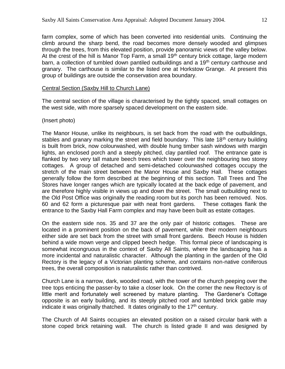farm complex, some of which has been converted into residential units. Continuing the climb around the sharp bend, the road becomes more densely wooded and glimpses through the trees, from this elevated position, provide panoramic views of the valley below. At the crest of the hill is Manor Top Farm, a small 19<sup>th</sup> century brick cottage, large modern barn, a collection of tumbled down pantiled outbuildings and a 19<sup>th</sup> century carthouse and granary. The carthouse is similar to the listed one at Horkstow Grange. At present this group of buildings are outside the conservation area boundary.

#### Central Section (Saxby Hill to Church Lane)

The central section of the village is characterised by the tightly spaced, small cottages on the west side, with more sparsely spaced development on the eastern side.

#### (Insert photo)

The Manor House, unlike its neighbours, is set back from the road with the outbuildings, stables and granary marking the street and field boundary. This late 18<sup>th</sup> century building is built from brick, now colourwashed, with double hung timber sash windows with margin lights, an enclosed porch and a steeply pitched, clay pantiled roof. The entrance gate is flanked by two very tall mature beech trees which tower over the neighbouring two storey cottages. A group of detached and semi-detached colourwashed cottages occupy the stretch of the main street between the Manor House and Saxby Hall. These cottages generally follow the form described at the beginning of this section. Tall Trees and The Stores have longer ranges which are typically located at the back edge of pavement, and are therefore highly visible in views up and down the street. The small outbuilding next to the Old Post Office was originally the reading room but its porch has been removed. Nos. 60 and 62 form a picturesque pair with neat front gardens. These cottages flank the entrance to the Saxby Hall Farm complex and may have been built as estate cottages.

On the eastern side nos. 35 and 37 are the only pair of historic cottages. These are located in a prominent position on the back of pavement, while their modern neighbours either side are set back from the street with small front gardens. Beech House is hidden behind a wide mown verge and clipped beech hedge. This formal piece of landscaping is somewhat incongruous in the context of Saxby All Saints, where the landscaping has a more incidental and naturalistic character. Although the planting in the garden of the Old Rectory is the legacy of a Victorian planting scheme, and contains non-native coniferous trees, the overall composition is naturalistic rather than contrived.

Church Lane is a narrow, dark, wooded road, with the tower of the church peeping over the tree tops enticing the passer-by to take a closer look. On the corner the new Rectory is of little merit and fortunately well screened by mature planting. The Gardener's Cottage opposite is an early building, and its steeply pitched roof and tumbled brick gable may indicate it was originally thatched. It dates originally to the  $17<sup>th</sup>$  century.

The Church of All Saints occupies an elevated position on a raised circular bank with a stone coped brick retaining wall. The church is listed grade II and was designed by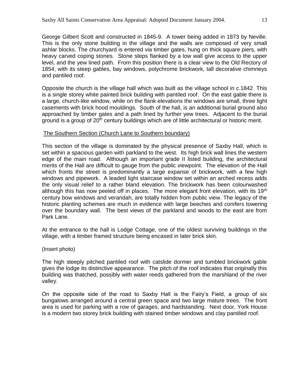George Gilbert Scott and constructed in 1845-9. A tower being added in 1873 by Neville. This is the only stone building in the village and the walls are composed of very small ashlar blocks. The churchyard is entered via timber gates, hung on thick square piers, with heavy carved coping stones. Stone steps flanked by a low wall give access to the upper level, and the yew lined path. From this position there is a clear view to the Old Rectory of 1854, with its steep gables, bay windows, polychrome brickwork, tall decorative chimneys and pantiled roof.

Opposite the church is the village hall which was built as the village school in c.1842 This is a single storey white painted brick building with pantiled roof. On the east gable there is a large, church-like window, while on the flank elevations the windows are small, three light casements with brick hood mouldings. South of the hall, is an additional burial ground also approached by timber gates and a path lined by further yew trees. Adjacent to the burial ground is a group of 20<sup>th</sup> century buildings which are of little architectural or historic merit.

#### The Southern Section (Church Lane to Southern boundary)

This section of the village is dominated by the physical presence of Saxby Hall, which is set within a spacious garden with parkland to the west. Its high brick wall lines the western edge of the main road. Although an important grade II listed building, the architectural merits of the Hall are difficult to gauge from the public viewpoint. The elevation of the Hall which fronts the street is predominantly a large expanse of brickwork, with a few high windows and pipework. A leaded light staircase window set within an arched recess adds the only visual relief to a rather bland elevation. The brickwork has been colourwashed although this has now peeled off in places. The more elegant front elevation, with its  $19<sup>th</sup>$ century bow windows and verandah, are totally hidden from public view. The legacy of the historic planting schemes are much in evidence with large beeches and conifers towering over the boundary wall. The best views of the parkland and woods to the east are from Park Lane.

At the entrance to the hall is Lodge Cottage, one of the oldest surviving buildings in the village, with a timber framed structure being encased in later brick skin.

#### (Insert photo)

The high steeply pitched pantiled roof with catslide dormer and tumbled brickwork gable gives the lodge its distinctive appearance. The pitch of the roof indicates that originally this building was thatched, possibly with water reeds gathered from the marshland of the river valley.

On the opposite side of the road to Saxby Hall is the Fairy's Field, a group of six bungalows arranged around a central green space and two large mature trees. The front area is used for parking with a row of garages, and hardstanding. Next door, York House is a modern two storey brick building with stained timber windows and clay pantiled roof.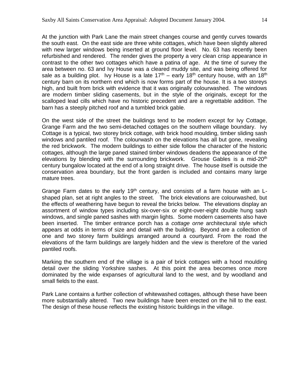At the junction with Park Lane the main street changes course and gently curves towards the south east. On the east side are three white cottages, which have been slightly altered with new larger windows being inserted at ground floor level. No. 63 has recently been refurbished and rendered. The render gives the property a very clean crisp appearance in contrast to the other two cottages which have a patina of age. At the time of survey the area between no. 63 and Ivy House was a cleared muddy site, and was being offered for sale as a building plot. Ivy House is a late  $17<sup>th</sup>$  – early  $18<sup>th</sup>$  century house, with an  $18<sup>th</sup>$ century barn on its northern end which is now forms part of the house. It is a two storeys high, and built from brick with evidence that it was originally colourwashed. The windows are modern timber sliding casements, but in the style of the originals, except for the scalloped lead cills which have no historic precedent and are a regrettable addition. The barn has a steeply pitched roof and a tumbled brick gable.

On the west side of the street the buildings tend to be modern except for Ivy Cottage, Grange Farm and the two semi-detached cottages on the southern village boundary. Ivy Cottage is a typical, two storey brick cottage, with brick hood moulding, timber sliding sash windows and pantiled roof. The colourwash on the elevations has all but gone, revealing the red brickwork. The modern buildings to either side follow the character of the historic cottages, although the large paned stained timber windows deadens the appearance of the elevations by blending with the surrounding brickwork. Grouse Gables is a mid-20<sup>th</sup> century bungalow located at the end of a long straight drive. The house itself is outside the conservation area boundary, but the front garden is included and contains many large mature trees.

Grange Farm dates to the early 19<sup>th</sup> century, and consists of a farm house with an  $L$ shaped plan, set at right angles to the street. The brick elevations are colourwashed, but the effects of weathering have begun to reveal the bricks below. The elevations display an assortment of window types including six-over-six or eight-over-eight double hung sash windows, and single paned sashes with margin lights. Some modern casements also have been inserted. The timber entrance porch has a *cottage orne* architectural style which appears at odds in terms of size and detail with the building. Beyond are a collection of one and two storey farm buildings arranged around a courtyard. From the road the elevations of the farm buildings are largely hidden and the view is therefore of the varied pantiled roofs.

Marking the southern end of the village is a pair of brick cottages with a hood moulding detail over the sliding Yorkshire sashes. At this point the area becomes once more dominated by the wide expanses of agricultural land to the west, and by woodland and small fields to the east.

Park Lane contains a further collection of whitewashed cottages, although these have been more substantially altered. Two new buildings have been erected on the hill to the east. The design of these house reflects the existing historic buildings in the village.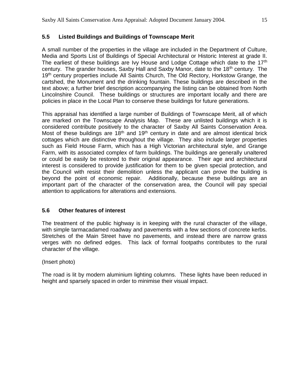## **5.5 Listed Buildings and Buildings of Townscape Merit**

A small number of the properties in the village are included in the Department of Culture, Media and Sports List of Buildings of Special Architectural or Historic Interest at grade II. The earliest of these buildings are Ivy House and Lodge Cottage which date to the 17<sup>th</sup> century. The grander houses, Saxby Hall and Saxby Manor, date to the 18<sup>th</sup> century. The 19<sup>th</sup> century properties include All Saints Church, The Old Rectory, Horkstow Grange, the cartshed, the Monument and the drinking fountain. These buildings are described in the text above; a further brief description accompanying the listing can be obtained from North Lincolnshire Council. These buildings or structures are important locally and there are policies in place in the Local Plan to conserve these buildings for future generations.

This appraisal has identified a large number of Buildings of Townscape Merit, all of which are marked on the Townscape Analysis Map. These are unlisted buildings which it is considered contribute positively to the character of Saxby All Saints Conservation Area. Most of these buildings are  $18<sup>th</sup>$  and  $19<sup>th</sup>$  century in date and are almost identical brick cottages which are distinctive throughout the village. They also include larger properties such as Field House Farm, which has a High Victorian architectural style, and Grange Farm, with its associated complex of farm buildings. The buildings are generally unaltered or could be easily be restored to their original appearance. Their age and architectural interest is considered to provide justification for them to be given special protection, and the Council with resist their demolition unless the applicant can prove the building is beyond the point of economic repair. Additionally, because these buildings are an important part of the character of the conservation area, the Council will pay special attention to applications for alterations and extensions.

## **5.6 Other features of interest**

The treatment of the public highway is in keeping with the rural character of the village, with simple tarmacadamed roadway and pavements with a few sections of concrete kerbs. Stretches of the Main Street have no pavements, and instead there are narrow grass verges with no defined edges. This lack of formal footpaths contributes to the rural character of the village.

## (Insert photo)

The road is lit by modern aluminium lighting columns. These lights have been reduced in height and sparsely spaced in order to minimise their visual impact.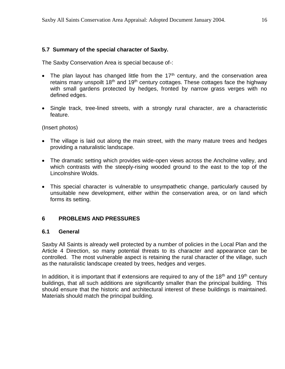## **5.7 Summary of the special character of Saxby.**

The Saxby Conservation Area is special because of-:

- The plan layout has changed little from the  $17<sup>th</sup>$  century, and the conservation area retains many unspoilt  $18<sup>th</sup>$  and  $19<sup>th</sup>$  century cottages. These cottages face the highway with small gardens protected by hedges, fronted by narrow grass verges with no defined edges.
- Single track, tree-lined streets, with a strongly rural character, are a characteristic feature.

(Insert photos)

- The village is laid out along the main street, with the many mature trees and hedges providing a naturalistic landscape.
- The dramatic setting which provides wide-open views across the Ancholme valley, and which contrasts with the steeply-rising wooded ground to the east to the top of the Lincolnshire Wolds.
- This special character is vulnerable to unsympathetic change, particularly caused by unsuitable new development, either within the conservation area, or on land which forms its setting.

#### **6 PROBLEMS AND PRESSURES**

#### **6.1 General**

Saxby All Saints is already well protected by a number of policies in the Local Plan and the Article 4 Direction, so many potential threats to its character and appearance can be controlled. The most vulnerable aspect is retaining the rural character of the village, such as the naturalistic landscape created by trees, hedges and verges.

In addition, it is important that if extensions are required to any of the  $18<sup>th</sup>$  and  $19<sup>th</sup>$  century buildings, that all such additions are significantly smaller than the principal building. This should ensure that the historic and architectural interest of these buildings is maintained. Materials should match the principal building.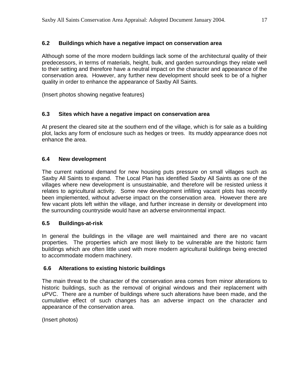## **6.2 Buildings which have a negative impact on conservation area**

Although some of the more modern buildings lack some of the architectural quality of their predecessors, in terms of materials, height, bulk, and garden surroundings they relate well to their setting and therefore have a neutral impact on the character and appearance of the conservation area. However, any further new development should seek to be of a higher quality in order to enhance the appearance of Saxby All Saints.

(Insert photos showing negative features)

## **6.3 Sites which have a negative impact on conservation area**

At present the cleared site at the southern end of the village, which is for sale as a building plot, lacks any form of enclosure such as hedges or trees. Its muddy appearance does not enhance the area.

## **6.4 New development**

The current national demand for new housing puts pressure on small villages such as Saxby All Saints to expand. The Local Plan has identified Saxby All Saints as one of the villages where new development is unsustainable, and therefore will be resisted unless it relates to agricultural activity. Some new development infilling vacant plots has recently been implemented, without adverse impact on the conservation area. However there are few vacant plots left within the village, and further increase in density or development into the surrounding countryside would have an adverse environmental impact.

#### **6.5 Buildings-at-risk**

In general the buildings in the village are well maintained and there are no vacant properties. The properties which are most likely to be vulnerable are the historic farm buildings which are often little used with more modern agricultural buildings being erected to accommodate modern machinery.

#### **6.6 Alterations to existing historic buildings**

The main threat to the character of the conservation area comes from minor alterations to historic buildings, such as the removal of original windows and their replacement with uPVC. There are a number of buildings where such alterations have been made, and the cumulative effect of such changes has an adverse impact on the character and appearance of the conservation area.

(Insert photos)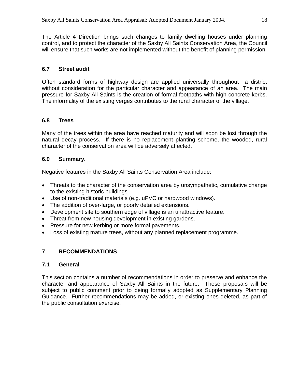The Article 4 Direction brings such changes to family dwelling houses under planning control, and to protect the character of the Saxby All Saints Conservation Area, the Council will ensure that such works are not implemented without the benefit of planning permission.

# **6.7 Street audit**

Often standard forms of highway design are applied universally throughout a district without consideration for the particular character and appearance of an area. The main pressure for Saxby All Saints is the creation of formal footpaths with high concrete kerbs. The informality of the existing verges contributes to the rural character of the village.

# **6.8 Trees**

Many of the trees within the area have reached maturity and will soon be lost through the natural decay process. If there is no replacement planting scheme, the wooded, rural character of the conservation area will be adversely affected.

# **6.9 Summary.**

Negative features in the Saxby All Saints Conservation Area include:

- Threats to the character of the conservation area by unsympathetic, cumulative change to the existing historic buildings.
- Use of non-traditional materials (e.g. uPVC or hardwood windows).
- The addition of over-large, or poorly detailed extensions.
- Development site to southern edge of village is an unattractive feature.
- Threat from new housing development in existing gardens.
- Pressure for new kerbing or more formal pavements.
- Loss of existing mature trees, without any planned replacement programme.

# **7 RECOMMENDATIONS**

## **7.1 General**

This section contains a number of recommendations in order to preserve and enhance the character and appearance of Saxby All Saints in the future. These proposals will be subject to public comment prior to being formally adopted as Supplementary Planning Guidance. Further recommendations may be added, or existing ones deleted, as part of the public consultation exercise.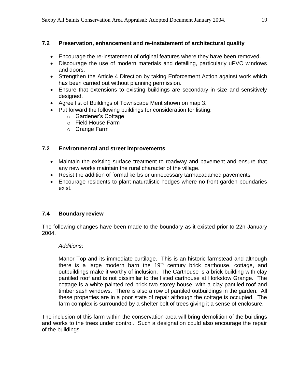## **7.2 Preservation, enhancement and re-instatement of architectural quality**

- Encourage the re-instatement of original features where they have been removed.
- Discourage the use of modern materials and detailing, particularly uPVC windows and doors.
- Strengthen the Article 4 Direction by taking Enforcement Action against work which has been carried out without planning permission.
- Ensure that extensions to existing buildings are secondary in size and sensitively designed.
- Agree list of Buildings of Townscape Merit shown on map 3.
- Put forward the following buildings for consideration for listing:
	- o Gardener's Cottage
	- o Field House Farm
	- o Grange Farm

## **7.2 Environmental and street improvements**

- Maintain the existing surface treatment to roadway and pavement and ensure that any new works maintain the rural character of the village.
- Resist the addition of formal kerbs or unnecessary tarmacadamed pavements.
- Encourage residents to plant naturalistic hedges where no front garden boundaries exist.

## **7.4 Boundary review**

The following changes have been made to the boundary as it existed prior to 22n January 2004.

#### *Additions*:

Manor Top and its immediate curtilage. This is an historic farmstead and although there is a large modern barn the 19<sup>th</sup> century brick carthouse, cottage, and outbuildings make it worthy of inclusion. The Carthouse is a brick building with clay pantiled roof and is not dissimilar to the listed carthouse at Horkstow Grange. The cottage is a white painted red brick two storey house, with a clay pantiled roof and timber sash windows. There is also a row of pantiled outbuildings in the garden. All these properties are in a poor state of repair although the cottage is occupied. The farm complex is surrounded by a shelter belt of trees giving it a sense of enclosure.

The inclusion of this farm within the conservation area will bring demolition of the buildings and works to the trees under control. Such a designation could also encourage the repair of the buildings.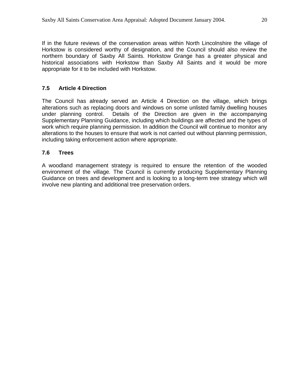If in the future reviews of the conservation areas within North Lincolnshire the village of Horkstow is considered worthy of designation, and the Council should also review the northern boundary of Saxby All Saints. Horkstow Grange has a greater physical and historical associations with Horkstow than Saxby All Saints and it would be more appropriate for it to be included with Horkstow.

# **7.5 Article 4 Direction**

The Council has already served an Article 4 Direction on the village, which brings alterations such as replacing doors and windows on some unlisted family dwelling houses under planning control. Details of the Direction are given in the accompanying Supplementary Planning Guidance, including which buildings are affected and the types of work which require planning permission. In addition the Council will continue to monitor any alterations to the houses to ensure that work is not carried out without planning permission, including taking enforcement action where appropriate.

## **7.6 Trees**

A woodland management strategy is required to ensure the retention of the wooded environment of the village*.* The Council is currently producing Supplementary Planning Guidance on trees and development and is looking to a long-term tree strategy which will involve new planting and additional tree preservation orders.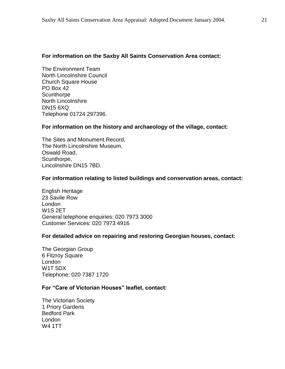#### **For information on the Saxby All Saints Conservation Area contact:**

The Environment Team North Lincolnshire Council Church Square House PO Box 42 **Scunthorpe** North Lincolnshire DN15 6XQ Telephone 01724 297396.

#### **For information on the history and archaeology of the village, contact:**

The Sites and Monument Record, The North Lincolnshire Museum, Oswald Road, Scunthorpe, Lincolnshire DN15 7BD.

#### **For information relating to listed buildings and conservation areas, contact:**

English Heritage 23 Savile Row London W1S 2ET General telephone enquiries: 020 7973 3000 Customer Services: 020 7973 4916

#### **For detailed advice on repairing and restoring Georgian houses, contact:**

The Georgian Group 6 Fitzroy Square London W1T 5DX Telephone: 020 7387 1720

#### **For "Care of Victorian Houses" leaflet, contact:**

The Victorian Society 1 Priory Gardens Bedford Park London W4 1TT